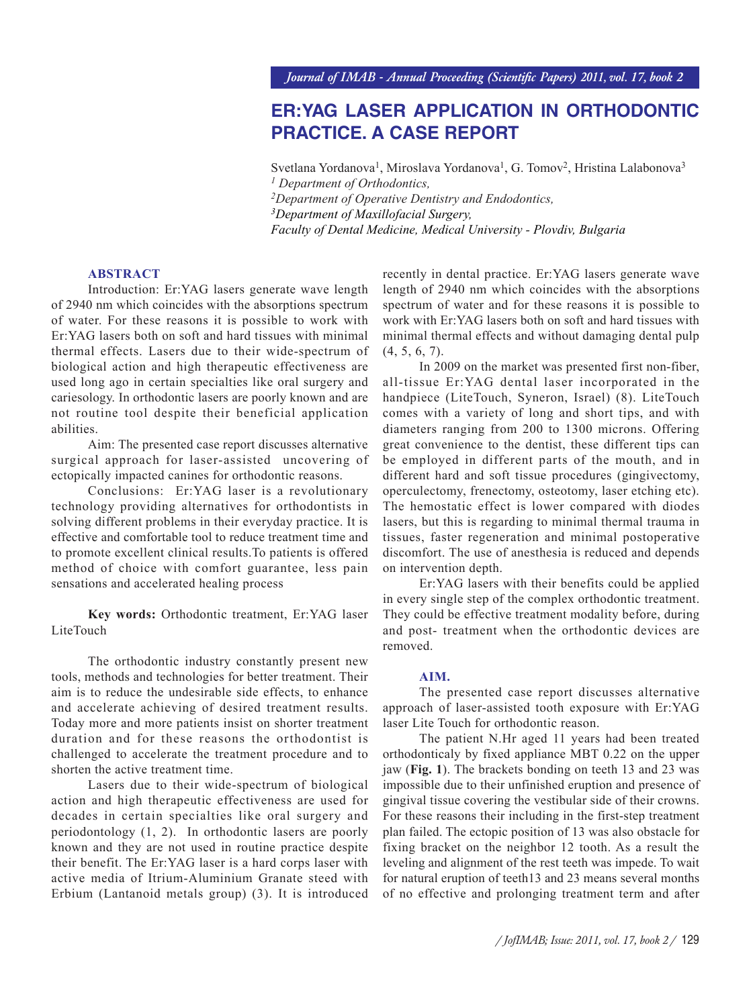# **ER:YAG LASER APPLICATION IN ORTHODONTIC PRACTICE. A CASE REPORT**

Svetlana Yordanova<sup>1</sup>, Miroslava Yordanova<sup>1</sup>, G. Tomov<sup>2</sup>, Hristina Lalabonova<sup>3</sup> *1 Department of Orthodontics, 2Department of Operative Dentistry and Endodontics, 3Department of Maxillofacial Surgery, Faculty of Dental Medicine, Medical University - Plovdiv, Bulgaria*

#### **ABSTRACT**

Introduction: Er:YAG lasers generate wave length of 2940 nm which coincides with the absorptions spectrum of water. For these reasons it is possible to work with Er:YAG lasers both on soft and hard tissues with minimal thermal effects. Lasers due to their wide-spectrum of biological action and high therapeutic effectiveness are used long ago in certain specialties like oral surgery and cariesology. In orthodontic lasers are poorly known and are not routine tool despite their beneficial application abilities.

Aim: The presented case report discusses alternative surgical approach for laser-assisted uncovering of ectopically impacted canines for orthodontic reasons.

Conclusions: Er:YAG laser is a revolutionary technology providing alternatives for orthodontists in solving different problems in their everyday practice. It is effective and comfortable tool to reduce treatment time and to promote excellent clinical results.To patients is offered method of choice with comfort guarantee, less pain sensations and accelerated healing process

**Key words:** Orthodontic treatment, Er:YAG laser LiteTouch

The orthodontic industry constantly present new tools, methods and technologies for better treatment. Their aim is to reduce the undesirable side effects, to enhance and accelerate achieving of desired treatment results. Today more and more patients insist on shorter treatment duration and for these reasons the orthodontist is challenged to accelerate the treatment procedure and to shorten the active treatment time.

Lasers due to their wide-spectrum of biological action and high therapeutic effectiveness are used for decades in certain specialties like oral surgery and periodontology (1, 2). In orthodontic lasers are poorly known and they are not used in routine practice despite their benefit. The Er:YAG laser is a hard corps laser with active media of Itrium-Aluminium Granate steed with Erbium (Lantanoid metals group) (3). It is introduced recently in dental practice. Er:YAG lasers generate wave length of 2940 nm which coincides with the absorptions spectrum of water and for these reasons it is possible to work with Er:YAG lasers both on soft and hard tissues with minimal thermal effects and without damaging dental pulp (4, 5, 6, 7).

In 2009 on the market was presented first non-fiber, all-tissue Er:YAG dental laser incorporated in the handpiece (LiteTouch, Syneron, Israel) (8). LiteTouch comes with a variety of long and short tips, and with diameters ranging from 200 to 1300 microns. Offering great convenience to the dentist, these different tips can be employed in different parts of the mouth, and in different hard and soft tissue procedures (gingivectomy, operculectomy, frenectomy, osteotomy, laser etching etc). The hemostatic effect is lower compared with diodes lasers, but this is regarding to minimal thermal trauma in tissues, faster regeneration and minimal postoperative discomfort. The use of anesthesia is reduced and depends on intervention depth.

Er:YAG lasers with their benefits could be applied in every single step of the complex orthodontic treatment. They could be effective treatment modality before, during and post- treatment when the orthodontic devices are removed.

#### **AIM.**

The presented case report discusses alternative approach of laser-assisted tooth exposure with Er:YAG laser Lite Touch for orthodontic reason.

The patient N.Hr aged 11 years had been treated orthodonticaly by fixed appliance MBT 0.22 on the upper jaw (**Fig. 1**). The brackets bonding on teeth 13 and 23 was impossible due to their unfinished eruption and presence of gingival tissue covering the vestibular side of their crowns. For these reasons their including in the first-step treatment plan failed. The ectopic position of 13 was also obstacle for fixing bracket on the neighbor 12 tooth. As a result the leveling and alignment of the rest teeth was impede. To wait for natural eruption of teeth13 and 23 means several months of no effective and prolonging treatment term and after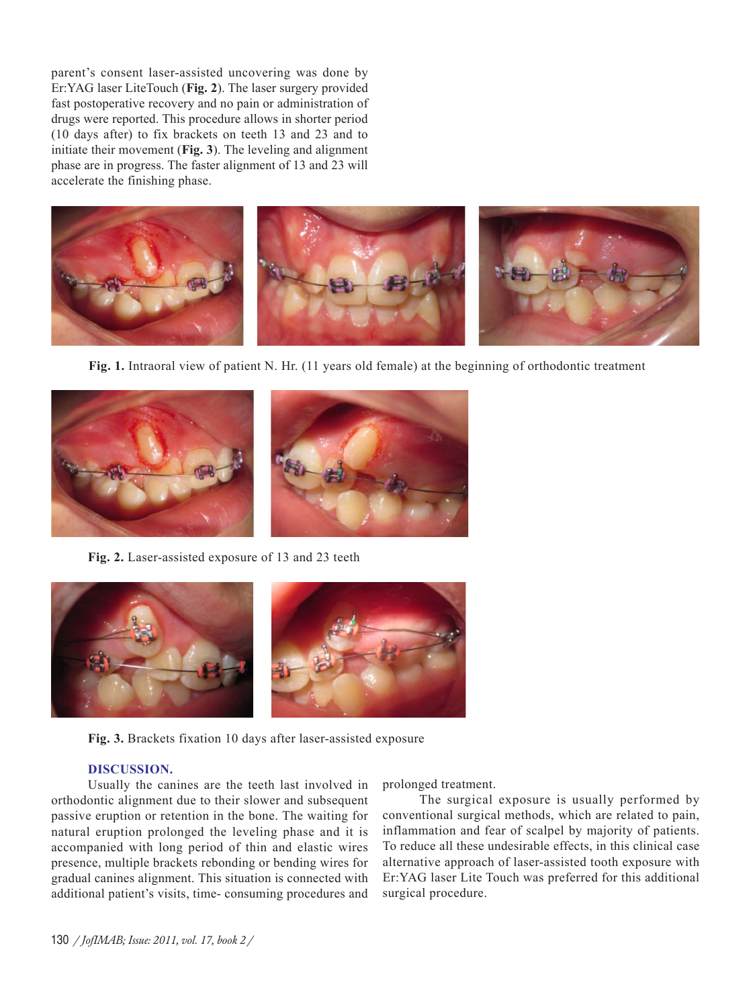parent's consent laser-assisted uncovering was done by Er:YAG laser LiteTouch (**Fig. 2**). The laser surgery provided fast postoperative recovery and no pain or administration of drugs were reported. This procedure allows in shorter period (10 days after) to fix brackets on teeth 13 and 23 and to initiate their movement (**Fig. 3**). The leveling and alignment phase are in progress. The faster alignment of 13 and 23 will accelerate the finishing phase.



**Fig. 1.** Intraoral view of patient N. Hr. (11 years old female) at the beginning of orthodontic treatment



**Fig. 2.** Laser-assisted exposure of 13 and 23 teeth



**Fig. 3.** Brackets fixation 10 days after laser-assisted exposure

## **DISCUSSION.**

Usually the canines are the teeth last involved in orthodontic alignment due to their slower and subsequent passive eruption or retention in the bone. The waiting for natural eruption prolonged the leveling phase and it is accompanied with long period of thin and elastic wires presence, multiple brackets rebonding or bending wires for gradual canines alignment. This situation is connected with additional patient's visits, time- consuming procedures and

prolonged treatment.

The surgical exposure is usually performed by conventional surgical methods, which are related to pain, inflammation and fear of scalpel by majority of patients. To reduce all these undesirable effects, in this clinical case alternative approach of laser-assisted tooth exposure with Er:YAG laser Lite Touch was preferred for this additional surgical procedure.